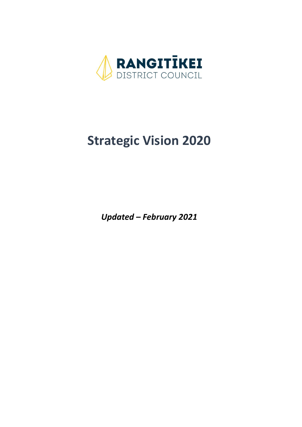

# **Strategic Vision 2020**

*Updated – February 2021*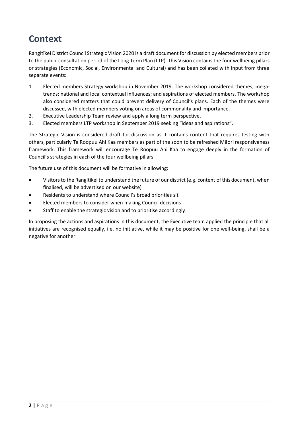## **Context**

Rangitīkei District Council Strategic Vision 2020 is a draft document for discussion by elected members prior to the public consultation period of the Long Term Plan (LTP). This Vision contains the four wellbeing pillars or strategies (Economic, Social, Environmental and Cultural) and has been collated with input from three separate events:

- 1. Elected members Strategy workshop in November 2019. The workshop considered themes; megatrends; national and local contextual influences; and aspirations of elected members. The workshop also considered matters that could prevent delivery of Council's plans. Each of the themes were discussed, with elected members voting on areas of commonality and importance.
- 2. Executive Leadership Team review and apply a long term perspective.
- 3. Elected members LTP workshop in September 2019 seeking "ideas and aspirations".

The Strategic Vision is considered draft for discussion as it contains content that requires testing with others, particularly Te Roopuu Ahi Kaa members as part of the soon to be refreshed Māori responsiveness framework. This framework will encourage Te Roopuu Ahi Kaa to engage deeply in the formation of Council's strategies in each of the four wellbeing pillars.

The future use of this document will be formative in allowing:

- Visitors to the Rangitīkei to understand the future of our district (e.g. content of this document, when finalised, will be advertised on our website)
- Residents to understand where Council's broad priorities sit
- Elected members to consider when making Council decisions
- Staff to enable the strategic vision and to prioritise accordingly.

In proposing the actions and aspirations in this document, the Executive team applied the principle that all initiatives are recognised equally, i.e. no initiative, while it may be positive for one well-being, shall be a negative for another.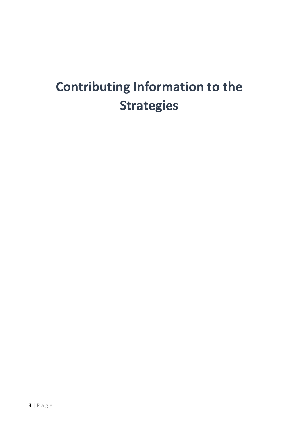# **Contributing Information to the Strategies**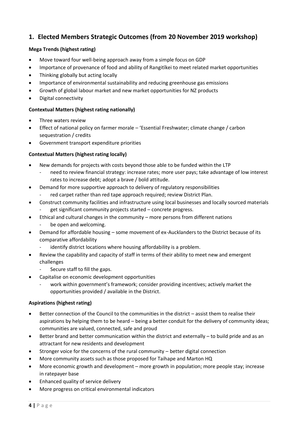### **1. Elected Members Strategic Outcomes (from 20 November 2019 workshop)**

### **Mega Trends (highest rating)**

- Move toward four well-being approach away from a simple focus on GDP
- Importance of provenance of food and ability of Rangitīkei to meet related market opportunities
- Thinking globally but acting locally
- Importance of environmental sustainability and reducing greenhouse gas emissions
- Growth of global labour market and new market opportunities for NZ products
- Digital connectivity

### **Contextual Matters (highest rating nationally)**

- Three waters review
- Effect of national policy on farmer morale 'Essential Freshwater; climate change / carbon sequestration / credits
- Government transport expenditure priorities

### **Contextual Matters (highest rating locally)**

- New demands for projects with costs beyond those able to be funded within the LTP
	- need to review financial strategy: increase rates; more user pays; take advantage of low interest rates to increase debt; adopt a brave / bold attitude.
- Demand for more supportive approach to delivery of regulatory responsibilities red carpet rather than red tape approach required; review District Plan.
- Construct community facilities and infrastructure using local businesses and locally sourced materials
	- get significant community projects started concrete progress.
- Ethical and cultural changes in the community more persons from different nations
	- be open and welcoming.
- Demand for affordable housing some movement of ex-Aucklanders to the District because of its comparative affordability
	- identify district locations where housing affordability is a problem.
- Review the capability and capacity of staff in terms of their ability to meet new and emergent challenges
	- Secure staff to fill the gaps.
- Capitalise on economic development opportunities
	- work within government's framework; consider providing incentives; actively market the opportunities provided / available in the District.

### **Aspirations (highest rating)**

- Better connection of the Council to the communities in the district assist them to realise their aspirations by helping them to be heard – being a better conduit for the delivery of community ideas; communities are valued, connected, safe and proud
- Better brand and better communication within the district and externally to build pride and as an attractant for new residents and development
- Stronger voice for the concerns of the rural community better digital connection
- More community assets such as those proposed for Taihape and Marton HQ
- More economic growth and development more growth in population; more people stay; increase in ratepayer base
- Enhanced quality of service delivery
- More progress on critical environmental indicators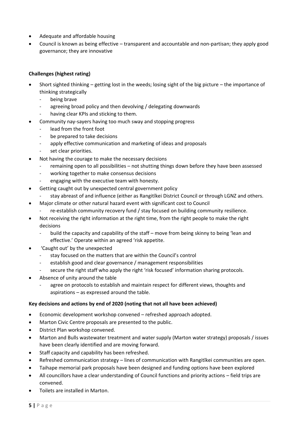- Adequate and affordable housing
- Council is known as being effective transparent and accountable and non-partisan; they apply good governance; they are innovative

### **Challenges (highest rating)**

- Short sighted thinking getting lost in the weeds; losing sight of the big picture the importance of thinking strategically
	- being brave
	- agreeing broad policy and then devolving / delegating downwards
	- having clear KPIs and sticking to them.
	- Community nay-sayers having too much sway and stopping progress
		- lead from the front foot
		- be prepared to take decisions
		- apply effective communication and marketing of ideas and proposals
		- set clear priorities.
- Not having the courage to make the necessary decisions
	- remaining open to all possibilities not shutting things down before they have been assessed
	- working together to make consensus decisions
	- engaging with the executive team with honesty.
- Getting caught out by unexpected central government policy
	- stay abreast of and influence (either as Rangitīkei District Council or through LGNZ and others.
- Major climate or other natural hazard event with significant cost to Council
- re-establish community recovery fund / stay focused on building community resilience.
- Not receiving the right information at the right time, from the right people to make the right decisions
	- build the capacity and capability of the staff move from being skinny to being 'lean and effective.' Operate within an agreed 'risk appetite.
- 'Caught out' by the unexpected
	- stay focused on the matters that are within the Council's control
	- establish good and clear governance / management responsibilities
	- secure the right staff who apply the right 'risk focused' information sharing protocols.
- Absence of unity around the table
	- agree on protocols to establish and maintain respect for different views, thoughts and aspirations – as expressed around the table.

### **Key decisions and actions by end of 2020 (noting that not all have been achieved)**

- Economic development workshop convened refreshed approach adopted.
- Marton Civic Centre proposals are presented to the public.
- District Plan workshop convened.
- Marton and Bulls wastewater treatment and water supply (Marton water strategy) proposals / issues have been clearly identified and are moving forward.
- Staff capacity and capability has been refreshed.
- Refreshed communication strategy lines of communication with Rangitīkei communities are open.
- Taihape memorial park proposals have been designed and funding options have been explored
- All councillors have a clear understanding of Council functions and priority actions field trips are convened.
- Toilets are installed in Marton.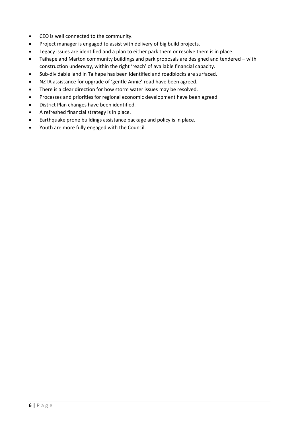- CEO is well connected to the community.
- Project manager is engaged to assist with delivery of big build projects.
- Legacy issues are identified and a plan to either park them or resolve them is in place.
- Taihape and Marton community buildings and park proposals are designed and tendered with construction underway, within the right 'reach' of available financial capacity.
- Sub-dividable land in Taihape has been identified and roadblocks are surfaced.
- NZTA assistance for upgrade of 'gentle Annie' road have been agreed.
- There is a clear direction for how storm water issues may be resolved.
- Processes and priorities for regional economic development have been agreed.
- District Plan changes have been identified.
- A refreshed financial strategy is in place.
- Earthquake prone buildings assistance package and policy is in place.
- Youth are more fully engaged with the Council.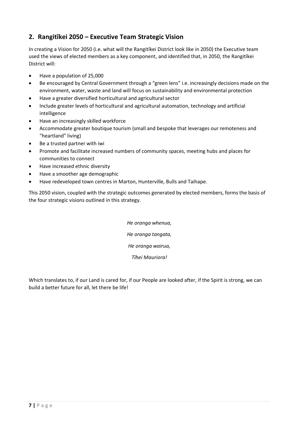### **2. Rangitīkei 2050 – Executive Team Strategic Vision**

In creating a Vision for 2050 (i.e. what will the Rangitīkei District look like in 2050) the Executive team used the views of elected members as a key component, and identified that, in 2050, the Rangitīkei District will:

- Have a population of 25,000
- Be encouraged by Central Government through a "green lens" i.e. increasingly decisions made on the environment, water, waste and land will focus on sustainability and environmental protection
- Have a greater diversified horticultural and agricultural sector
- Include greater levels of horticultural and agricultural automation, technology and artificial intelligence
- Have an increasingly skilled workforce
- Accommodate greater boutique tourism (small and bespoke that leverages our remoteness and "heartland" living)
- Be a trusted partner with iwi
- Promote and facilitate increased numbers of community spaces, meeting hubs and places for communities to connect
- Have increased ethnic diversity
- Have a smoother age demographic
- Have redeveloped town centres in Marton, Hunterville, Bulls and Taihape.

This 2050 vision, coupled with the strategic outcomes generated by elected members, forms the basis of the four strategic visions outlined in this strategy.

> *He oranga whenua, He oranga tangata, He oranga wairua, Tīhei Mauriora!*

Which translates to, if our Land is cared for, if our People are looked after, if the Spirit is strong, we can build a better future for all, let there be life!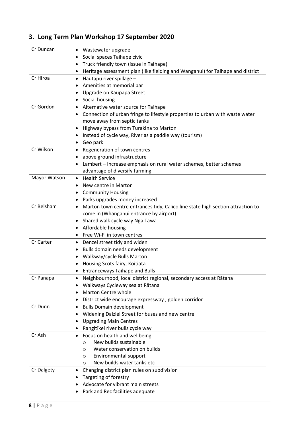### **3. Long Term Plan Workshop 17 September 2020**

| Cr Duncan    | Wastewater upgrade                                                                                       |
|--------------|----------------------------------------------------------------------------------------------------------|
|              | Social spaces Taihape civic<br>٠                                                                         |
|              | Truck friendly town (issue in Taihape)                                                                   |
|              | Heritage assessment plan (like fielding and Wanganui) for Taihape and district<br>٠                      |
| Cr Hiroa     | Hautapu river spillage -<br>$\bullet$                                                                    |
|              | Amenities at memorial par                                                                                |
|              | Upgrade on Kaupapa Street.                                                                               |
|              | Social housing                                                                                           |
| Cr Gordon    | Alternative water source for Taihape<br>$\bullet$                                                        |
|              | Connection of urban fringe to lifestyle properties to urban with waste water                             |
|              | move away from septic tanks                                                                              |
|              | Highway bypass from Turakina to Marton                                                                   |
|              | Instead of cycle way, River as a paddle way (tourism)                                                    |
|              | Geo park                                                                                                 |
| Cr Wilson    | Regeneration of town centres<br>$\bullet$                                                                |
|              | above ground infrastructure                                                                              |
|              | Lambert - Increase emphasis on rural water schemes, better schemes                                       |
|              | advantage of diversify farming                                                                           |
| Mayor Watson | <b>Health Service</b><br>$\bullet$                                                                       |
|              | New centre in Marton<br>٠                                                                                |
|              | <b>Community Housing</b>                                                                                 |
|              | Parks upgrades money increased                                                                           |
| Cr Belsham   | Marton town centre entrances tidy, Calico line state high section attraction to<br>$\bullet$             |
|              | come in (Whanganui entrance by airport)                                                                  |
|              | Shared walk cycle way Nga Tawa<br>٠                                                                      |
|              | Affordable housing<br>٠                                                                                  |
|              | Free Wi-Fi in town centres                                                                               |
| Cr Carter    | Denzel street tidy and widen<br>٠                                                                        |
|              | Bulls domain needs development<br>٠                                                                      |
|              | Walkway/cycle Bulls Marton                                                                               |
|              | Housing Scots fairy, Koitiata                                                                            |
|              | <b>Entranceways Taihape and Bulls</b>                                                                    |
| Cr Panapa    | Neighbourhood, local district regional, secondary access at Rātana<br>$\bullet$                          |
|              | Walkways Cycleway sea at Rātana<br>Marton Centre whole                                                   |
|              |                                                                                                          |
| Cr Dunn      | District wide encourage expressway, golden corridor<br>٠<br><b>Bulls Domain development</b><br>$\bullet$ |
|              | Widening Dalziel Street for buses and new centre                                                         |
|              | <b>Upgrading Main Centres</b>                                                                            |
|              | Rangitīkei river bulls cycle way                                                                         |
| Cr Ash       | Focus on health and wellbeing<br>$\bullet$                                                               |
|              | New builds sustainable<br>O                                                                              |
|              | Water conservation on builds<br>$\circ$                                                                  |
|              | Environmental support<br>$\circ$                                                                         |
|              | New builds water tanks etc<br>$\circ$                                                                    |
| Cr Dalgety   | Changing district plan rules on subdivision<br>٠                                                         |
|              | Targeting of forestry                                                                                    |
|              | Advocate for vibrant main streets                                                                        |
|              | Park and Rec facilities adequate                                                                         |
|              |                                                                                                          |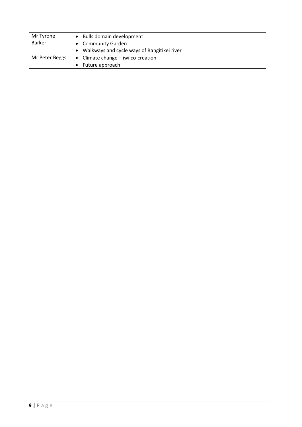| Mr Tyrone      | Bulls domain development<br>$\bullet$       |
|----------------|---------------------------------------------|
| <b>Barker</b>  | <b>Community Garden</b>                     |
|                | Walkways and cycle ways of Rangitikei river |
| Mr Peter Beggs | • Climate change $-$ iwi co-creation        |
|                | Future approach                             |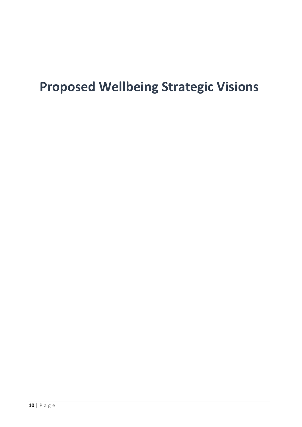# **Proposed Wellbeing Strategic Visions**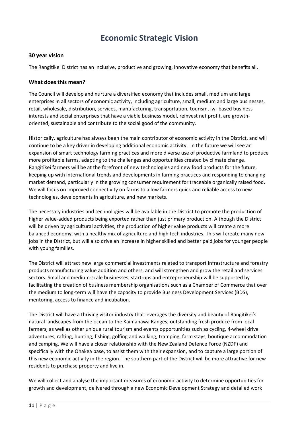### **Economic Strategic Vision**

### **30 year vision**

The Rangitīkei District has an inclusive, productive and growing, innovative economy that benefits all.

### **What does this mean?**

The Council will develop and nurture a diversified economy that includes small, medium and large enterprises in all sectors of economic activity, including agriculture, small, medium and large businesses, retail, wholesale, distribution, services, manufacturing, transportation, tourism, iwi-based business interests and social enterprises that have a viable business model, reinvest net profit, are growthoriented, sustainable and contribute to the social good of the community.

Historically, agriculture has always been the main contributor of economic activity in the District, and will continue to be a key driver in developing additional economic activity. In the future we will see an expansion of smart technology farming practices and more diverse use of productive farmland to produce more profitable farms, adapting to the challenges and opportunities created by climate change. Rangitīkei farmers will be at the forefront of new technologies and new food products for the future, keeping up with international trends and developments in farming practices and responding to changing market demand, particularly in the growing consumer requirement for traceable organically raised food. We will focus on improved connectivity on farms to allow farmers quick and reliable access to new technologies, developments in agriculture, and new markets.

The necessary industries and technologies will be available in the District to promote the production of higher value-added products being exported rather than just primary production. Although the District will be driven by agricultural activities, the production of higher value products will create a more balanced economy, with a healthy mix of agriculture and high tech industries. This will create many new jobs in the District, but will also drive an increase in higher skilled and better paid jobs for younger people with young families.

The District will attract new large commercial investments related to transport infrastructure and forestry products manufacturing value addition and others, and will strengthen and grow the retail and services sectors. Small and medium-scale businesses, start-ups and entrepreneurship will be supported by facilitating the creation of business membership organisations such as a Chamber of Commerce that over the medium to long-term will have the capacity to provide Business Development Services (BDS), mentoring, access to finance and incubation.

The District will have a thriving visitor industry that leverages the diversity and beauty of Rangitīkei's natural landscapes from the ocean to the Kaimanawa Ranges, outstanding fresh produce from local farmers, as well as other unique rural tourism and events opportunities such as cycling, 4-wheel drive adventures, rafting, hunting, fishing, golfing and walking, tramping, farm stays, boutique accommodation and camping. We will have a closer relationship with the New Zealand Defence Force (NZDF) and specifically with the Ohakea base, to assist them with their expansion, and to capture a large portion of this new economic activity in the region. The southern part of the District will be more attractive for new residents to purchase property and live in.

We will collect and analyse the important measures of economic activity to determine opportunities for growth and development, delivered through a new Economic Development Strategy and detailed work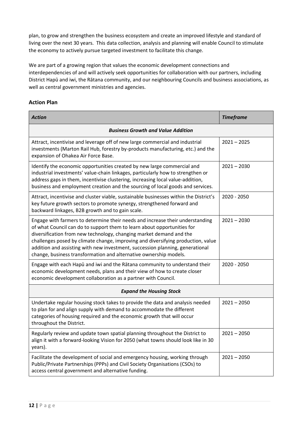plan, to grow and strengthen the business ecosystem and create an improved lifestyle and standard of living over the next 30 years. This data collection, analysis and planning will enable Council to stimulate the economy to actively pursue targeted investment to facilitate this change.

We are part of a growing region that values the economic development connections and interdependencies of and will actively seek opportunities for collaboration with our partners, including District Hapū and iwi, the Rātana community, and our neighbouring Councils and business associations, as well as central government ministries and agencies.

| <b>Action</b>                                                                                                                                                                                                                                                                                                                                                                                                                                                             | <b>Timeframe</b> |  |
|---------------------------------------------------------------------------------------------------------------------------------------------------------------------------------------------------------------------------------------------------------------------------------------------------------------------------------------------------------------------------------------------------------------------------------------------------------------------------|------------------|--|
| <b>Business Growth and Value Addition</b>                                                                                                                                                                                                                                                                                                                                                                                                                                 |                  |  |
| Attract, incentivise and leverage off of new large commercial and industrial<br>investments (Marton Rail Hub, forestry by-products manufacturing, etc.) and the<br>expansion of Ohakea Air Force Base.                                                                                                                                                                                                                                                                    | $2021 - 2025$    |  |
| Identify the economic opportunities created by new large commercial and<br>industrial investments' value-chain linkages, particularly how to strengthen or<br>address gaps in them, incentivise clustering, increasing local value-addition,<br>business and employment creation and the sourcing of local goods and services.                                                                                                                                            | $2021 - 2030$    |  |
| Attract, incentivise and cluster viable, sustainable businesses within the District's<br>key future growth sectors to promote synergy, strengthened forward and<br>backward linkages, B2B growth and to gain scale.                                                                                                                                                                                                                                                       | 2020 - 2050      |  |
| Engage with farmers to determine their needs and increase their understanding<br>of what Council can do to support them to learn about opportunities for<br>diversification from new technology, changing market demand and the<br>challenges posed by climate change, improving and diversifying production, value<br>addition and assisting with new investment, succession planning, generational<br>change, business transformation and alternative ownership models. | $2021 - 2030$    |  |
| Engage with each Hapū and iwi and the Rātana community to understand their<br>economic development needs, plans and their view of how to create closer<br>economic development collaboration as a partner with Council.                                                                                                                                                                                                                                                   | 2020 - 2050      |  |
| <b>Expand the Housing Stock</b>                                                                                                                                                                                                                                                                                                                                                                                                                                           |                  |  |
| Undertake regular housing stock takes to provide the data and analysis needed<br>to plan for and align supply with demand to accommodate the different<br>categories of housing required and the economic growth that will occur<br>throughout the District.                                                                                                                                                                                                              | $2021 - 2050$    |  |
| Regularly review and update town spatial planning throughout the District to<br>align it with a forward-looking Vision for 2050 (what towns should look like in 30<br>years).                                                                                                                                                                                                                                                                                             | $2021 - 2050$    |  |
| Facilitate the development of social and emergency housing, working through<br>Public/Private Partnerships (PPPs) and Civil Society Organisations (CSOs) to<br>access central government and alternative funding.                                                                                                                                                                                                                                                         | $2021 - 2050$    |  |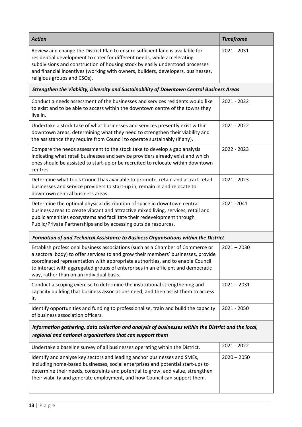| <b>Action</b>                                                                                                                                                                                                                                                                                                                                                                         | <b>Timeframe</b> |  |
|---------------------------------------------------------------------------------------------------------------------------------------------------------------------------------------------------------------------------------------------------------------------------------------------------------------------------------------------------------------------------------------|------------------|--|
| Review and change the District Plan to ensure sufficient land is available for<br>residential development to cater for different needs, while accelerating<br>subdivisions and construction of housing stock by easily understood processes<br>and financial incentives (working with owners, builders, developers, businesses,<br>religious groups and CSOs).                        | 2021 - 2031      |  |
| Strengthen the Viability, Diversity and Sustainability of Downtown Central Business Areas                                                                                                                                                                                                                                                                                             |                  |  |
| Conduct a needs assessment of the businesses and services residents would like<br>to exist and to be able to access within the downtown centre of the towns they<br>live in.                                                                                                                                                                                                          | 2021 - 2022      |  |
| Undertake a stock take of what businesses and services presently exist within<br>downtown areas, determining what they need to strengthen their viability and<br>the assistance they require from Council to operate sustainably (if any).                                                                                                                                            | 2021 - 2022      |  |
| Compare the needs assessment to the stock take to develop a gap analysis<br>indicating what retail businesses and service providers already exist and which<br>ones should be assisted to start-up or be recruited to relocate within downtown<br>centres.                                                                                                                            | 2022 - 2023      |  |
| Determine what tools Council has available to promote, retain and attract retail<br>businesses and service providers to start-up in, remain in and relocate to<br>downtown central business areas.                                                                                                                                                                                    | 2021 - 2023      |  |
| Determine the optimal physical distribution of space in downtown central<br>business areas to create vibrant and attractive mixed living, services, retail and<br>public amenities ecosystems and facilitate their redevelopment through<br>Public/Private Partnerships and by accessing outside resources.                                                                           | 2021-2041        |  |
| Formation of and Technical Assistance to Business Organisations within the District                                                                                                                                                                                                                                                                                                   |                  |  |
| Establish professional business associations (such as a Chamber of Commerce or<br>a sectoral body) to offer services to and grow their members' businesses, provide<br>coordinated representation with appropriate authorities, and to enable Council<br>to interact with aggregated groups of enterprises in an efficient and democratic<br>way, rather than on an individual basis. | $2021 - 2030$    |  |
| Conduct a scoping exercise to determine the institutional strengthening and<br>capacity building that business associations need, and then assist them to access<br>it.                                                                                                                                                                                                               | $2021 - 2031$    |  |
| Identify opportunities and funding to professionalise, train and build the capacity<br>of business association officers.                                                                                                                                                                                                                                                              | 2021 - 2050      |  |
| Information gathering, data collection and analysis of businesses within the District and the local,<br>regional and national organisations that can support them                                                                                                                                                                                                                     |                  |  |
| Undertake a baseline survey of all businesses operating within the District.                                                                                                                                                                                                                                                                                                          | 2021 - 2022      |  |
| Identify and analyse key sectors and leading anchor businesses and SMEs,<br>including home-based businesses, social enterprises and potential start-ups to<br>determine their needs, constraints and potential to grow, add value, strengthen<br>their viability and generate employment, and how Council can support them.                                                           | $2020 - 2050$    |  |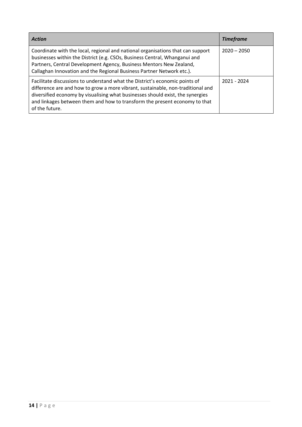| <b>Action</b>                                                                                                                                                                                                                                                                                                                                    | <b>Timeframe</b> |
|--------------------------------------------------------------------------------------------------------------------------------------------------------------------------------------------------------------------------------------------------------------------------------------------------------------------------------------------------|------------------|
| Coordinate with the local, regional and national organisations that can support<br>businesses within the District (e.g. CSOs, Business Central, Whanganui and<br>Partners, Central Development Agency, Business Mentors New Zealand,<br>Callaghan Innovation and the Regional Business Partner Network etc.).                                    | $2020 - 2050$    |
| Facilitate discussions to understand what the District's economic points of<br>difference are and how to grow a more vibrant, sustainable, non-traditional and<br>diversified economy by visualising what businesses should exist, the synergies<br>and linkages between them and how to transform the present economy to that<br>of the future. | 2021 - 2024      |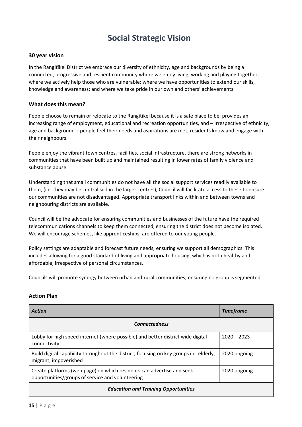## **Social Strategic Vision**

### **30 year vision**

In the Rangitīkei District we embrace our diversity of ethnicity, age and backgrounds by being a connected, progressive and resilient community where we enjoy living, working and playing together; where we actively help those who are vulnerable; where we have opportunities to extend our skills, knowledge and awareness; and where we take pride in our own and others' achievements.

### **What does this mean?**

People choose to remain or relocate to the Rangitīkei because it is a safe place to be, provides an increasing range of employment, educational and recreation opportunities, and – irrespective of ethnicity, age and background – people feel their needs and aspirations are met, residents know and engage with their neighbours.

People enjoy the vibrant town centres, facilities, social infrastructure, there are strong networks in communities that have been built up and maintained resulting in lower rates of family violence and substance abuse.

Understanding that small communities do not have all the social support services readily available to them, (i.e. they may be centralised in the larger centres), Council will facilitate access to these to ensure our communities are not disadvantaged. Appropriate transport links within and between towns and neighbouring districts are available.

Council will be the advocate for ensuring communities and businesses of the future have the required telecommunications channels to keep them connected, ensuring the district does not become isolated. We will encourage schemes, like apprenticeships, are offered to our young people.

Policy settings are adaptable and forecast future needs, ensuring we support all demographics. This includes allowing for a good standard of living and appropriate housing, which is both healthy and affordable, irrespective of personal circumstances.

Councils will promote synergy between urban and rural communities; ensuring no group is segmented.

| Action                                                                                                                    | <b>Timeframe</b> |  |
|---------------------------------------------------------------------------------------------------------------------------|------------------|--|
| <b>Connectedness</b>                                                                                                      |                  |  |
| Lobby for high speed internet (where possible) and better district wide digital<br>connectivity                           | $2020 - 2023$    |  |
| Build digital capability throughout the district, focusing on key groups i.e. elderly,<br>migrant, impoverished           | 2020 ongoing     |  |
| Create platforms (web page) on which residents can advertise and seek<br>opportunities/groups of service and volunteering | 2020 ongoing     |  |
| <b>Education and Training Opportunities</b>                                                                               |                  |  |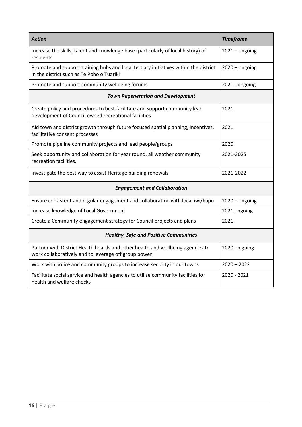| <b>Action</b>                                                                                                                          | <b>Timeframe</b> |  |
|----------------------------------------------------------------------------------------------------------------------------------------|------------------|--|
| Increase the skills, talent and knowledge base (particularly of local history) of<br>residents                                         | $2021 -$ ongoing |  |
| Promote and support training hubs and local tertiary initiatives within the district<br>in the district such as Te Poho o Tuariki      | $2020 -$ ongoing |  |
| Promote and support community wellbeing forums                                                                                         | 2021 - ongoing   |  |
| <b>Town Regeneration and Development</b>                                                                                               |                  |  |
| Create policy and procedures to best facilitate and support community lead<br>development of Council owned recreational facilities     | 2021             |  |
| Aid town and district growth through future focused spatial planning, incentives,<br>facilitative consent processes                    | 2021             |  |
| Promote pipeline community projects and lead people/groups                                                                             | 2020             |  |
| Seek opportunity and collaboration for year round, all weather community<br>recreation facilities.                                     | 2021-2025        |  |
| Investigate the best way to assist Heritage building renewals                                                                          | 2021-2022        |  |
| <b>Engagement and Collaboration</b>                                                                                                    |                  |  |
| Ensure consistent and regular engagement and collaboration with local iwi/hapū                                                         | $2020 -$ ongoing |  |
| Increase knowledge of Local Government                                                                                                 | 2021 ongoing     |  |
| Create a Community engagement strategy for Council projects and plans                                                                  | 2021             |  |
| <b>Healthy, Safe and Positive Communities</b>                                                                                          |                  |  |
| Partner with District Health boards and other health and wellbeing agencies to<br>work collaboratively and to leverage off group power | 2020 on going    |  |
| Work with police and community groups to increase security in our towns                                                                | $2020 - 2022$    |  |
| Facilitate social service and health agencies to utilise community facilities for<br>health and welfare checks                         | 2020 - 2021      |  |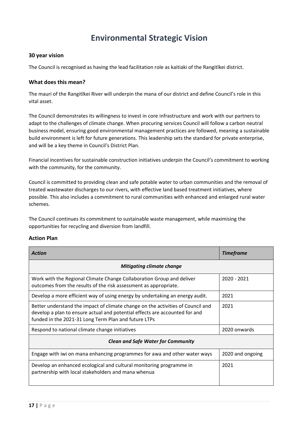### **Environmental Strategic Vision**

#### **30 year vision**

The Council is recognised as having the lead facilitation role as kaitiaki of the Rangitīkei district.

### **What does this mean?**

The mauri of the Rangitīkei River will underpin the mana of our district and define Council's role in this vital asset.

The Council demonstrates its willingness to invest in core infrastructure and work with our partners to adapt to the challenges of climate change. When procuring services Council will follow a carbon neutral business model, ensuring good environmental management practices are followed, meaning a sustainable build environment is left for future generations. This leadership sets the standard for private enterprise, and will be a key theme in Council's District Plan.

Financial incentives for sustainable construction initiatives underpin the Council's commitment to working with the community, for the community.

Council is committed to providing clean and safe potable water to urban communities and the removal of treated wastewater discharges to our rivers, with effective land based treatment initiatives, where possible. This also includes a commitment to rural communities with enhanced and enlarged rural water schemes.

The Council continues its commitment to sustainable waste management, while maximising the opportunities for recycling and diversion from landfill.

| <b>Action</b>                                                                                                                                                                                                          | <b>Timeframe</b> |  |
|------------------------------------------------------------------------------------------------------------------------------------------------------------------------------------------------------------------------|------------------|--|
| <b>Mitigating climate change</b>                                                                                                                                                                                       |                  |  |
| Work with the Regional Climate Change Collaboration Group and deliver<br>outcomes from the results of the risk assessment as appropriate.                                                                              | 2020 - 2021      |  |
| Develop a more efficient way of using energy by undertaking an energy audit.                                                                                                                                           | 2021             |  |
| Better understand the impact of climate change on the activities of Council and<br>develop a plan to ensure actual and potential effects are accounted for and<br>funded in the 2021-31 Long Term Plan and future LTPs | 2021             |  |
| Respond to national climate change initiatives                                                                                                                                                                         | 2020 onwards     |  |
| <b>Clean and Safe Water for Community</b>                                                                                                                                                                              |                  |  |
| Engage with iwi on mana enhancing programmes for awa and other water ways                                                                                                                                              | 2020 and ongoing |  |
| Develop an enhanced ecological and cultural monitoring programme in<br>partnership with local stakeholders and mana whenua                                                                                             | 2021             |  |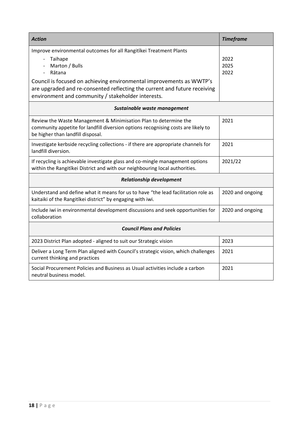| <b>Action</b>                                                                                                                                                                                           | <b>Timeframe</b>     |  |
|---------------------------------------------------------------------------------------------------------------------------------------------------------------------------------------------------------|----------------------|--|
| Improve environmental outcomes for all Rangitikei Treatment Plants<br>Taihape<br>$\overline{\phantom{a}}$<br>Marton / Bulls<br>Rātana                                                                   | 2022<br>2025<br>2022 |  |
| Council is focused on achieving environmental improvements as WWTP's<br>are upgraded and re-consented reflecting the current and future receiving<br>environment and community / stakeholder interests. |                      |  |
| Sustainable waste management                                                                                                                                                                            |                      |  |
| Review the Waste Management & Minimisation Plan to determine the<br>community appetite for landfill diversion options recognising costs are likely to<br>be higher than landfill disposal.              | 2021                 |  |
| Investigate kerbside recycling collections - if there are appropriate channels for<br>landfill diversion.                                                                                               | 2021                 |  |
| If recycling is achievable investigate glass and co-mingle management options<br>within the Rangitikei District and with our neighbouring local authorities.                                            | 2021/22              |  |
| <b>Relationship development</b>                                                                                                                                                                         |                      |  |
| Understand and define what it means for us to have "the lead facilitation role as<br>kaitaiki of the Rangitīkei district" by engaging with iwi.                                                         | 2020 and ongoing     |  |
| Include iwi in environmental development discussions and seek opportunities for<br>collaboration                                                                                                        | 2020 and ongoing     |  |
| <b>Council Plans and Policies</b>                                                                                                                                                                       |                      |  |
| 2023 District Plan adopted - aligned to suit our Strategic vision                                                                                                                                       | 2023                 |  |
| Deliver a Long Term Plan aligned with Council's strategic vision, which challenges<br>current thinking and practices                                                                                    | 2021                 |  |
| Social Procurement Policies and Business as Usual activities include a carbon<br>neutral business model.                                                                                                | 2021                 |  |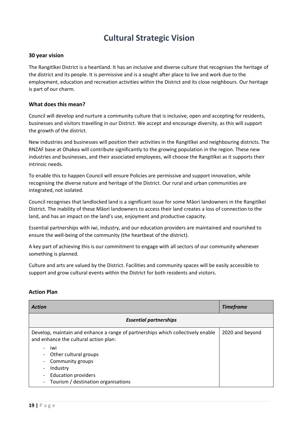## **Cultural Strategic Vision**

#### **30 year vision**

The Rangitīkei District is a heartland. It has an inclusive and diverse culture that recognises the heritage of the district and its people. It is permissive and is a sought after place to live and work due to the employment, education and recreation activities within the District and its close neighbours. Our heritage is part of our charm.

### **What does this mean?**

Council will develop and nurture a community culture that is inclusive, open and accepting for residents, businesses and visitors travelling in our District. We accept and encourage diversity, as this will support the growth of the district.

New industries and businesses will position their activities in the Rangitīkei and neighbouring districts. The RNZAF base at Ohakea will contribute significantly to the growing population in the region. These new industries and businesses, and their associated employees, will choose the Rangitīkei as it supports their intrinsic needs.

To enable this to happen Council will ensure Policies are permissive and support innovation, while recognising the diverse nature and heritage of the District. Our rural and urban communities are integrated, not isolated.

Council recognises that landlocked land is a significant issue for some Māori landowners in the Rangitīkei District. The inability of these Māori landowners to access their land creates a loss of connection to the land, and has an impact on the land's use, enjoyment and productive capacity.

Essential partnerships with iwi, industry, and our education providers are maintained and nourished to ensure the well-being of the community (the heartbeat of the district).

A key part of achieving this is our commitment to engage with all sectors of our community whenever something is planned.

Culture and arts are valued by the District. Facilities and community spaces will be easily accessible to support and grow cultural events within the District for both residents and visitors.

| <b>Action</b>                                                                                                                                                                                                                                                           | <b>Timeframe</b> |
|-------------------------------------------------------------------------------------------------------------------------------------------------------------------------------------------------------------------------------------------------------------------------|------------------|
| <b>Essential partnerships</b>                                                                                                                                                                                                                                           |                  |
| Develop, maintain and enhance a range of partnerships which collectively enable<br>and enhance the cultural action plan:<br>iwi<br>Other cultural groups<br>Community groups<br>$\sim$<br>Industry<br><b>Education providers</b><br>Tourism / destination organisations | 2020 and beyond  |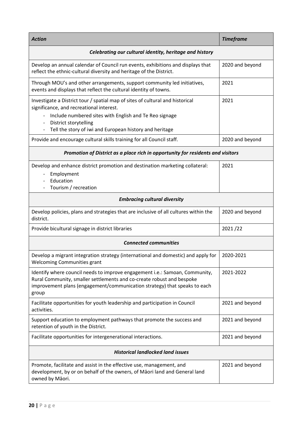| <b>Action</b>                                                                                                                                                                                                                              | <b>Timeframe</b> |  |
|--------------------------------------------------------------------------------------------------------------------------------------------------------------------------------------------------------------------------------------------|------------------|--|
| Celebrating our cultural identity, heritage and history                                                                                                                                                                                    |                  |  |
| Develop an annual calendar of Council run events, exhibitions and displays that<br>reflect the ethnic-cultural diversity and heritage of the District.                                                                                     | 2020 and beyond  |  |
| Through MOU's and other arrangements, support community led initiatives,<br>events and displays that reflect the cultural identity of towns.                                                                                               | 2021             |  |
| Investigate a District tour / spatial map of sites of cultural and historical<br>significance, and recreational interest.<br>Include numbered sites with English and Te Reo signage<br>District storytelling                               | 2021             |  |
| Tell the story of iwi and European history and heritage                                                                                                                                                                                    |                  |  |
| Provide and encourage cultural skills training for all Council staff.                                                                                                                                                                      | 2020 and beyond  |  |
| Promotion of District as a place rich in opportunity for residents and visitors                                                                                                                                                            |                  |  |
| Develop and enhance district promotion and destination marketing collateral:<br>Employment<br>Education<br>Tourism / recreation                                                                                                            | 2021             |  |
| <b>Embracing cultural diversity</b>                                                                                                                                                                                                        |                  |  |
| Develop policies, plans and strategies that are inclusive of all cultures within the<br>district.                                                                                                                                          | 2020 and beyond  |  |
| Provide bicultural signage in district libraries                                                                                                                                                                                           | 2021/22          |  |
| <b>Connected communities</b>                                                                                                                                                                                                               |                  |  |
| Develop a migrant integration strategy (international and domestic) and apply for<br><b>Welcoming Communities grant</b>                                                                                                                    | 2020-2021        |  |
| Identify where council needs to improve engagement i.e.: Samoan, Community,<br>Rural Community, smaller settlements and co-create robust and bespoke<br>improvement plans (engagement/communication strategy) that speaks to each<br>group | 2021-2022        |  |
| Facilitate opportunities for youth leadership and participation in Council<br>activities.                                                                                                                                                  | 2021 and beyond  |  |
| Support education to employment pathways that promote the success and<br>retention of youth in the District.                                                                                                                               | 2021 and beyond  |  |
| Facilitate opportunities for intergenerational interactions.                                                                                                                                                                               | 2021 and beyond  |  |
| <b>Historical landlocked land issues</b>                                                                                                                                                                                                   |                  |  |
| Promote, facilitate and assist in the effective use, management, and<br>development, by or on behalf of the owners, of Māori land and General land<br>owned by Māori.                                                                      | 2021 and beyond  |  |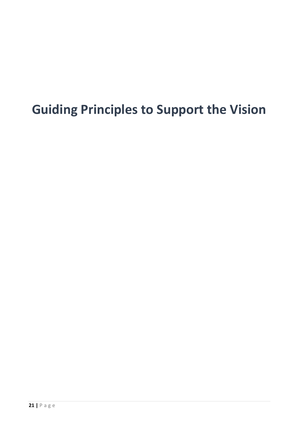## **Guiding Principles to Support the Vision**